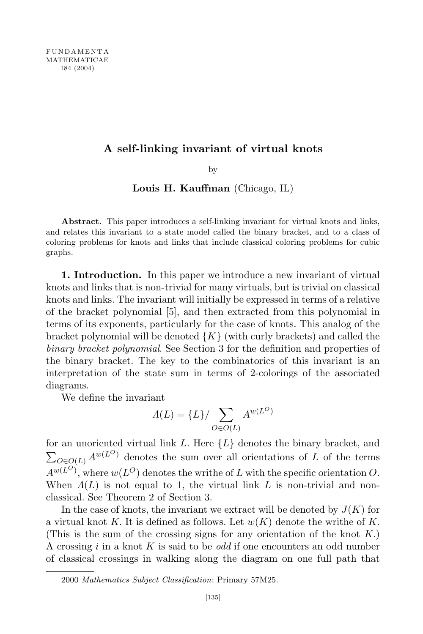# **A self-linking invariant of virtual knots**

by

# **Louis H. Kauffman** (Chicago, IL)

**Abstract.** This paper introduces a self-linking invariant for virtual knots and links, and relates this invariant to a state model called the binary bracket, and to a class of coloring problems for knots and links that include classical coloring problems for cubic graphs.

**1. Introduction.** In this paper we introduce a new invariant of virtual knots and links that is non-trivial for many virtuals, but is trivial on classical knots and links. The invariant will initially be expressed in terms of a relative of the bracket polynomial [5], and then extracted from this polynomial in terms of its exponents, particularly for the case of knots. This analog of the bracket polynomial will be denoted  ${K}$  (with curly brackets) and called the *binary bracket polynomial*. See Section 3 for the definition and properties of the binary bracket. The key to the combinatorics of this invariant is an interpretation of the state sum in terms of 2-colorings of the associated diagrams.

We define the invariant

$$
\Lambda(L) = \{L\} / \sum_{O \in O(L)} A^{w(L^O)}
$$

for an unoriented virtual link *L.* Here *{L}* denotes the binary bracket, and  $\sum_{O \in O(L)} A^{w(L^O)}$  denotes the sum over all orientations of *L* of the terms  $A^{w(L^O)}$ , where  $w(L^O)$  denotes the writhe of *L* with the specific orientation *O*. When *Λ*(*L*) is not equal to 1, the virtual link *L* is non-trivial and nonclassical. See Theorem 2 of Section 3.

In the case of knots, the invariant we extract will be denoted by  $J(K)$  for a virtual knot *K.* It is defined as follows. Let *w*(*K*) denote the writhe of *K.* (This is the sum of the crossing signs for any orientation of the knot *K.*) A crossing *i* in a knot *K* is said to be *odd* if one encounters an odd number of classical crossings in walking along the diagram on one full path that

<sup>2000</sup> *Mathematics Subject Classification*: Primary 57M25.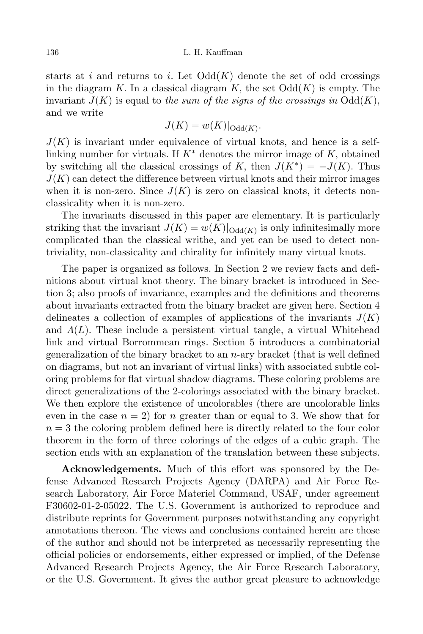### 136 L. H. Kauffman

starts at  $i$  and returns to  $i$ . Let  $Odd(K)$  denote the set of odd crossings in the diagram  $K$ . In a classical diagram  $K$ , the set  $Odd(K)$  is empty. The invariant  $J(K)$  is equal to the sum of the signs of the crossings in  $Odd(K)$ , and we write

$$
J(K) = w(K)|_{\mathrm{Odd}(K)}.
$$

 $J(K)$  is invariant under equivalence of virtual knots, and hence is a selflinking number for virtuals. If  $K^*$  denotes the mirror image of  $K$ , obtained by switching all the classical crossings of *K*, then  $J(K^*) = -J(K)$ . Thus  $J(K)$  can detect the difference between virtual knots and their mirror images when it is non-zero. Since  $J(K)$  is zero on classical knots, it detects nonclassicality when it is non-zero.

The invariants discussed in this paper are elementary. It is particularly striking that the invariant  $J(K) = w(K)|_{\text{Odd}(K)}$  is only infinitesimally more complicated than the classical writhe, and yet can be used to detect nontriviality, non-classicality and chirality for infinitely many virtual knots.

The paper is organized as follows. In Section 2 we review facts and definitions about virtual knot theory. The binary bracket is introduced in Section 3; also proofs of invariance, examples and the definitions and theorems about invariants extracted from the binary bracket are given here. Section 4 delineates a collection of examples of applications of the invariants  $J(K)$ and *Λ*(*L*)*.* These include a persistent virtual tangle, a virtual Whitehead link and virtual Borrommean rings. Section 5 introduces a combinatorial generalization of the binary bracket to an *n*-ary bracket (that is well defined on diagrams, but not an invariant of virtual links) with associated subtle coloring problems for flat virtual shadow diagrams. These coloring problems are direct generalizations of the 2-colorings associated with the binary bracket. We then explore the existence of uncolorables (there are uncolorable links even in the case  $n = 2$ ) for *n* greater than or equal to 3. We show that for  $n = 3$  the coloring problem defined here is directly related to the four color theorem in the form of three colorings of the edges of a cubic graph. The section ends with an explanation of the translation between these subjects.

**Acknowledgements.** Much of this effort was sponsored by the Defense Advanced Research Projects Agency (DARPA) and Air Force Research Laboratory, Air Force Materiel Command, USAF, under agreement F30602-01-2-05022. The U.S. Government is authorized to reproduce and distribute reprints for Government purposes notwithstanding any copyright annotations thereon. The views and conclusions contained herein are those of the author and should not be interpreted as necessarily representing the official policies or endorsements, either expressed or implied, of the Defense Advanced Research Projects Agency, the Air Force Research Laboratory, or the U.S. Government. It gives the author great pleasure to acknowledge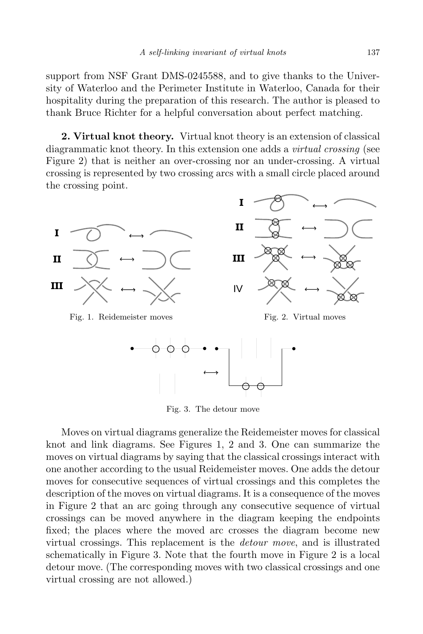support from NSF Grant DMS-0245588, and to give thanks to the University of Waterloo and the Perimeter Institute in Waterloo, Canada for their hospitality during the preparation of this research. The author is pleased to thank Bruce Richter for a helpful conversation about perfect matching.

**2. Virtual knot theory.** Virtual knot theory is an extension of classical diagrammatic knot theory. In this extension one adds a *virtual crossing* (see Figure 2) that is neither an over-crossing nor an under-crossing. A virtual crossing is represented by two crossing arcs with a small circle placed around the crossing point.



Fig. 3. The detour move

Moves on virtual diagrams generalize the Reidemeister moves for classical knot and link diagrams. See Figures 1, 2 and 3. One can summarize the moves on virtual diagrams by saying that the classical crossings interact with one another according to the usual Reidemeister moves. One adds the detour moves for consecutive sequences of virtual crossings and this completes the description of the moves on virtual diagrams. It is a consequence of the moves in Figure 2 that an arc going through any consecutive sequence of virtual crossings can be moved anywhere in the diagram keeping the endpoints fixed; the places where the moved arc crosses the diagram become new virtual crossings. This replacement is the *detour move*, and is illustrated schematically in Figure 3. Note that the fourth move in Figure 2 is a local detour move. (The corresponding moves with two classical crossings and one virtual crossing are not allowed.)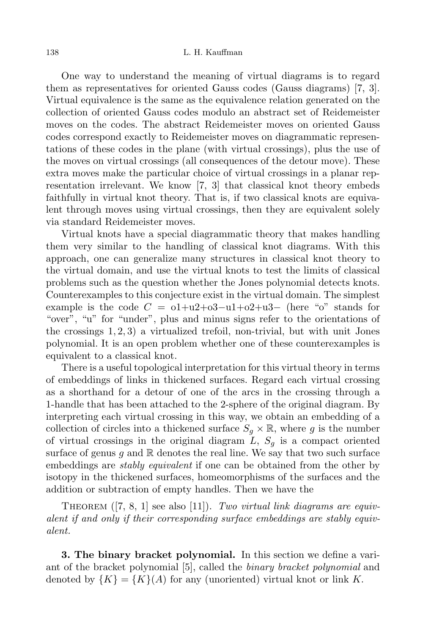One way to understand the meaning of virtual diagrams is to regard them as representatives for oriented Gauss codes (Gauss diagrams) [7, 3]. Virtual equivalence is the same as the equivalence relation generated on the collection of oriented Gauss codes modulo an abstract set of Reidemeister moves on the codes. The abstract Reidemeister moves on oriented Gauss codes correspond exactly to Reidemeister moves on diagrammatic representations of these codes in the plane (with virtual crossings), plus the use of the moves on virtual crossings (all consequences of the detour move). These extra moves make the particular choice of virtual crossings in a planar representation irrelevant. We know [7, 3] that classical knot theory embeds faithfully in virtual knot theory. That is, if two classical knots are equivalent through moves using virtual crossings, then they are equivalent solely via standard Reidemeister moves.

Virtual knots have a special diagrammatic theory that makes handling them very similar to the handling of classical knot diagrams. With this approach, one can generalize many structures in classical knot theory to the virtual domain, and use the virtual knots to test the limits of classical problems such as the question whether the Jones polynomial detects knots. Counterexamples to this conjecture exist in the virtual domain. The simplest example is the code  $C = 0+u^2+0^3- u^2+0^2+u^3-$  (here "o" stands for "over", "u" for "under", plus and minus signs refer to the orientations of the crossings 1*,* 2*,* 3) a virtualized trefoil, non-trivial, but with unit Jones polynomial. It is an open problem whether one of these counterexamples is equivalent to a classical knot.

There is a useful topological interpretation for this virtual theory in terms of embeddings of links in thickened surfaces. Regard each virtual crossing as a shorthand for a detour of one of the arcs in the crossing through a 1-handle that has been attached to the 2-sphere of the original diagram. By interpreting each virtual crossing in this way, we obtain an embedding of a collection of circles into a thickened surface  $S_g \times \mathbb{R}$ , where g is the number of virtual crossings in the original diagram  $L$ ,  $S_q$  is a compact oriented surface of genus  $q$  and  $\mathbb R$  denotes the real line. We say that two such surface embeddings are *stably equivalent* if one can be obtained from the other by isotopy in the thickened surfaces, homeomorphisms of the surfaces and the addition or subtraction of empty handles. Then we have the

THEOREM ([7, 8, 1] see also [11]). *Two virtual link diagrams are equivalent if and only if their corresponding surface embeddings are stably equivalent.*

**3. The binary bracket polynomial.** In this section we define a variant of the bracket polynomial [5], called the *binary bracket polynomial* and denoted by  ${K} = {K}(A)$  for any (unoriented) virtual knot or link K.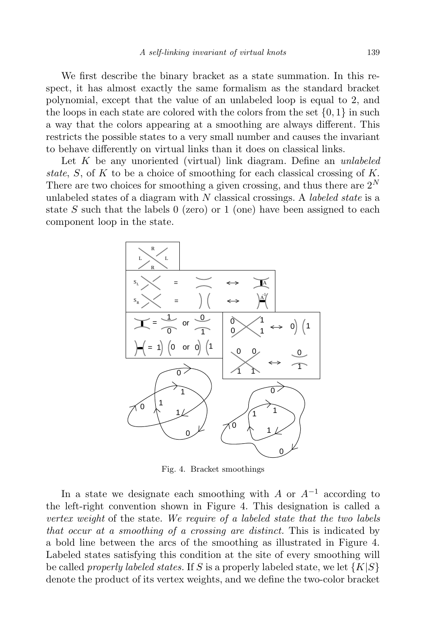We first describe the binary bracket as a state summation. In this respect, it has almost exactly the same formalism as the standard bracket polynomial, except that the value of an unlabeled loop is equal to 2*,* and the loops in each state are colored with the colors from the set  $\{0, 1\}$  in such a way that the colors appearing at a smoothing are always different. This restricts the possible states to a very small number and causes the invariant to behave differently on virtual links than it does on classical links.

Let *K* be any unoriented (virtual) link diagram. Define an *unlabeled state*, *S*, of *K* to be a choice of smoothing for each classical crossing of *K.* There are two choices for smoothing a given crossing, and thus there are  $2^N$ unlabeled states of a diagram with *N* classical crossings. A *labeled state* is a state *S* such that the labels 0 (zero) or 1 (one) have been assigned to each component loop in the state.



Fig. 4. Bracket smoothings

In a state we designate each smoothing with *A* or *A−*<sup>1</sup> according to the left-right convention shown in Figure 4. This designation is called a *vertex weight* of the state. *We require of a labeled state that the two labels that occur at a smoothing of a crossing are distinct.* This is indicated by a bold line between the arcs of the smoothing as illustrated in Figure 4. Labeled states satisfying this condition at the site of every smoothing will be called *properly labeled states.* If *S* is a properly labeled state, we let *{K|S}* denote the product of its vertex weights, and we define the two-color bracket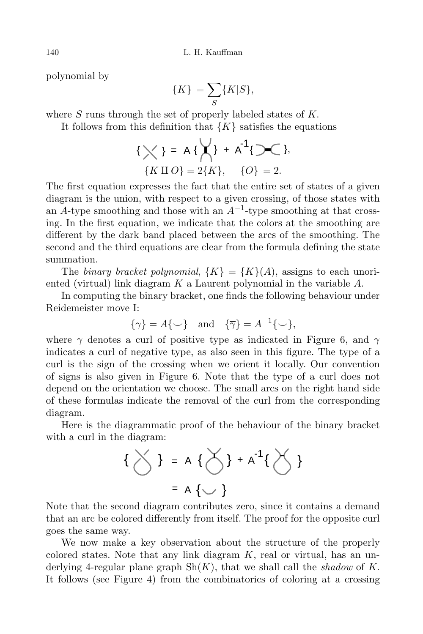polynomial by

$$
\{K\} = \sum_{S} \{K|S\},\
$$

where *S* runs through the set of properly labeled states of *K.*

It follows from this definition that  ${K}$  satisfies the equations

$$
\{\bigtimes\} = A \{\bigtimes\} + A^{-1} \{\bigtimes\},
$$
  

$$
\{K \amalg O\} = 2\{K\}, \quad \{O\} = 2.
$$

The first equation expresses the fact that the entire set of states of a given diagram is the union, with respect to a given crossing, of those states with an *A*-type smoothing and those with an *A−*<sup>1</sup> -type smoothing at that crossing. In the first equation, we indicate that the colors at the smoothing are different by the dark band placed between the arcs of the smoothing. The second and the third equations are clear from the formula defining the state summation.

The *binary bracket polynomial*,  $\{K\} = \{K\}(A)$ , assigns to each unoriented (virtual) link diagram *K* a Laurent polynomial in the variable *A.*

In computing the binary bracket, one finds the following behaviour under Reidemeister move I:

$$
\{\gamma\} = A\{\smile\} \quad \text{and} \quad \{\overline{\gamma}\} = A^{-1}\{\smile\},
$$

where  $\gamma$  denotes a curl of positive type as indicated in Figure 6, and  $\overline{\gamma}$ indicates a curl of negative type, as also seen in this figure. The type of a curl is the sign of the crossing when we orient it locally. Our convention of signs is also given in Figure 6. Note that the type of a curl does not depend on the orientation we choose. The small arcs on the right hand side of these formulas indicate the removal of the curl from the corresponding diagram.

Here is the diagrammatic proof of the behaviour of the binary bracket with a curl in the diagram:

$$
\left\{\sum_{i=1}^{n} \sum_{j=1}^{n} A_{i} \left\{ \sum_{j=1}^{n} \sum_{j=1}^{n} A_{i} \left\{ \sum_{j=1}^{n} A_{i} \left\{ \sum_{j=1}^{n} A_{i} \left\{ \sum_{j=1}^{n} A_{i} \left\{ \sum_{j=1}^{n} A_{i} \left\{ \sum_{j=1}^{n} A_{i} \left\{ \sum_{j=1}^{n} A_{i} \left\{ \sum_{j=1}^{n} A_{i} \left\{ \sum_{j=1}^{n} A_{i} \left\{ \sum_{j=1}^{n} A_{i} \left\{ \sum_{j=1}^{n} A_{i} \left\{ \sum_{j=1}^{n} A_{i} \left\{ \sum_{j=1}^{n} A_{i} \left\{ \sum_{j=1}^{n} A_{i} \left\{ \sum_{j=1}^{n} A_{i} \left\{ \sum_{j=1}^{n} A_{i} \left\{ \sum_{j=1}^{n} A_{i} \left\{ \sum_{j=1}^{n} A_{i} \left\{ \sum_{j=1}^{n} A_{i} \left\{ \sum_{j=1}^{n} A_{i} \left\{ \sum_{j=1}^{n} A_{i} \left\{ \sum_{j=1}^{n} A_{i} \left\{ \sum_{j=1}^{n} A_{i} \left\{ \sum_{j=1}^{n} A_{i} \left\{ \sum_{j=1}^{n} A_{i} \left\{ \sum_{j=1}^{n} A_{i} \left\{ \sum_{j=1}^{n} A_{i} \left\{ \sum_{j=1}^{n} A_{i} \left\{ \sum_{j=1}^{n} A_{i} \left\{ \sum_{j=1}^{n} A_{i} \left\{ \sum_{j=1}^{n} A_{i} \left\{ \sum_{j=1}^{n} A_{i} \left\{ \sum_{j=1}^{n} A_{i} \left\{ \sum_{j=1}^{n} A_{i} \left\{ \sum_{j=1}^{n} A_{i} \left\{ \sum_{j=1}^{n} A_{i} \left\{ \sum_{j=1}^{n} A_{i} \left\{ \sum_{j=1}^{n} A_{i} \left\{ \sum_{j=1}^{n} A_{i} \left\{ \sum_{j=1}^{n} A_{i} \left\
$$

Note that the second diagram contributes zero, since it contains a demand that an arc be colored differently from itself. The proof for the opposite curl goes the same way.

We now make a key observation about the structure of the properly colored states. Note that any link diagram *K*, real or virtual, has an underlying 4-regular plane graph  $\text{Sh}(K)$ , that we shall call the *shadow* of K. It follows (see Figure 4) from the combinatorics of coloring at a crossing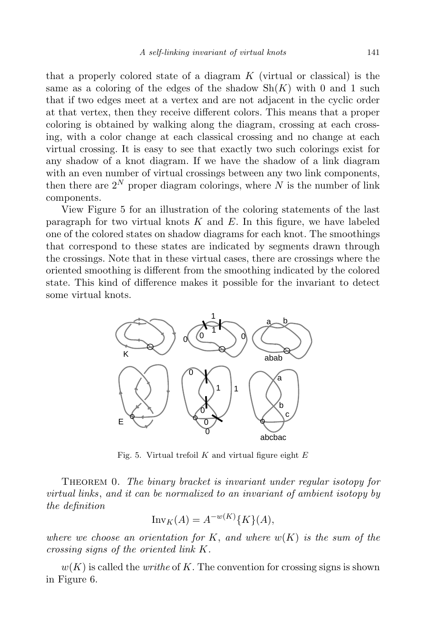that a properly colored state of a diagram *K* (virtual or classical) is the same as a coloring of the edges of the shadow  $\mathrm{Sh}(K)$  with 0 and 1 such that if two edges meet at a vertex and are not adjacent in the cyclic order at that vertex, then they receive different colors. This means that a proper coloring is obtained by walking along the diagram, crossing at each crossing, with a color change at each classical crossing and no change at each virtual crossing. It is easy to see that exactly two such colorings exist for any shadow of a knot diagram. If we have the shadow of a link diagram with an even number of virtual crossings between any two link components, then there are  $2^N$  proper diagram colorings, where  $N$  is the number of link components.

View Figure 5 for an illustration of the coloring statements of the last paragraph for two virtual knots *K* and *E.* In this figure, we have labeled one of the colored states on shadow diagrams for each knot. The smoothings that correspond to these states are indicated by segments drawn through the crossings. Note that in these virtual cases, there are crossings where the oriented smoothing is different from the smoothing indicated by the colored state. This kind of difference makes it possible for the invariant to detect some virtual knots.



Fig. 5. Virtual trefoil *K* and virtual figure eight *E*

Theorem 0. *The binary bracket is invariant under regular isotopy for virtual links*, *and it can be normalized to an invariant of ambient isotopy by the definition*

$$
\operatorname{Inv}_K(A) = A^{-w(K)}\{K\}(A),
$$

*where we choose an orientation for K*, *and where w*(*K*) *is the sum of the crossing signs of the oriented link K.*

 $w(K)$  is called the *writhe* of K. The convention for crossing signs is shown in Figure 6.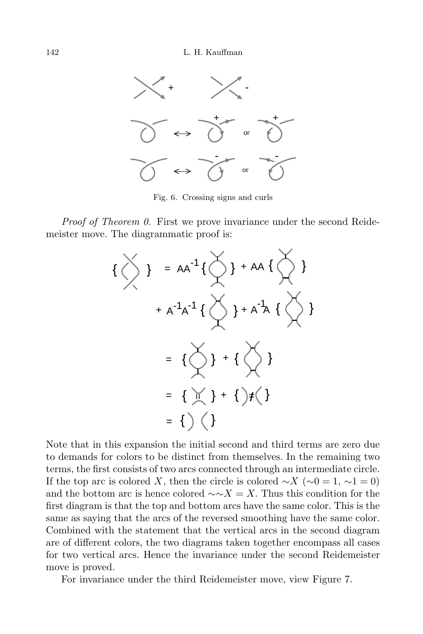

Fig. 6. Crossing signs and curls

*Proof of Theorem 0.* First we prove invariance under the second Reidemeister move. The diagrammatic proof is:



Note that in this expansion the initial second and third terms are zero due to demands for colors to be distinct from themselves. In the remaining two terms, the first consists of two arcs connected through an intermediate circle. If the top arc is colored *X*, then the circle is colored  $\sim$ *X* ( $\sim$ 0 = 1,  $\sim$ 1 = 0) and the bottom arc is hence colored *∼∼X* = *X.* Thus this condition for the first diagram is that the top and bottom arcs have the same color. This is the same as saying that the arcs of the reversed smoothing have the same color. Combined with the statement that the vertical arcs in the second diagram are of different colors, the two diagrams taken together encompass all cases for two vertical arcs. Hence the invariance under the second Reidemeister move is proved.

For invariance under the third Reidemeister move, view Figure 7.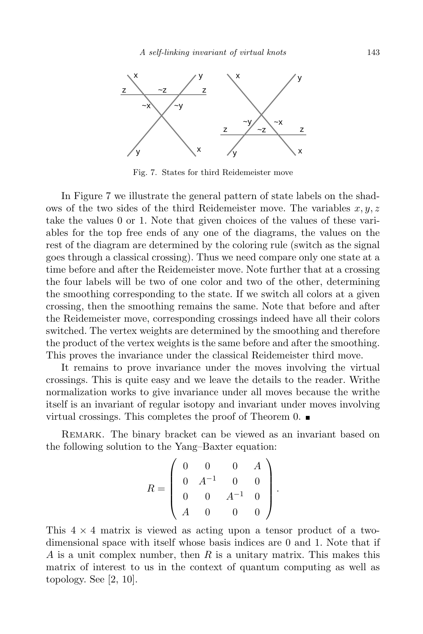

Fig. 7. States for third Reidemeister move

In Figure 7 we illustrate the general pattern of state labels on the shadows of the two sides of the third Reidemeister move. The variables  $x, y, z$ take the values 0 or 1*.* Note that given choices of the values of these variables for the top free ends of any one of the diagrams, the values on the rest of the diagram are determined by the coloring rule (switch as the signal goes through a classical crossing). Thus we need compare only one state at a time before and after the Reidemeister move. Note further that at a crossing the four labels will be two of one color and two of the other, determining the smoothing corresponding to the state. If we switch all colors at a given crossing, then the smoothing remains the same. Note that before and after the Reidemeister move, corresponding crossings indeed have all their colors switched. The vertex weights are determined by the smoothing and therefore the product of the vertex weights is the same before and after the smoothing. This proves the invariance under the classical Reidemeister third move.

It remains to prove invariance under the moves involving the virtual crossings. This is quite easy and we leave the details to the reader. Writhe normalization works to give invariance under all moves because the writhe itself is an invariant of regular isotopy and invariant under moves involving virtual crossings. This completes the proof of Theorem  $0.$ 

Remark. The binary bracket can be viewed as an invariant based on the following solution to the Yang–Baxter equation:

$$
R = \begin{pmatrix} 0 & 0 & 0 & A \\ 0 & A^{-1} & 0 & 0 \\ 0 & 0 & A^{-1} & 0 \\ A & 0 & 0 & 0 \end{pmatrix}.
$$

This 4 *×* 4 matrix is viewed as acting upon a tensor product of a twodimensional space with itself whose basis indices are 0 and 1*.* Note that if *A* is a unit complex number, then *R* is a unitary matrix. This makes this matrix of interest to us in the context of quantum computing as well as topology. See [2, 10].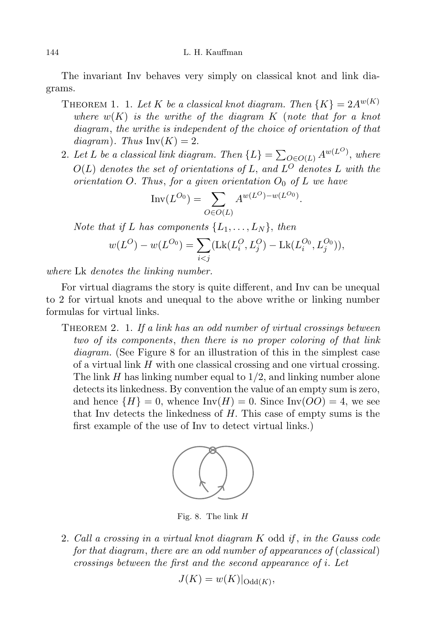The invariant Inv behaves very simply on classical knot and link diagrams.

- THEOREM 1. 1. Let *K* be a classical knot diagram. Then  $\{K\} = 2A^{w(K)}$ *where*  $w(K)$  *is the writhe of the diagram*  $K$  (*note that for a knot diagram*, *the writhe is independent of the choice of orientation of that*  $diagram$ *)*. *Thus*  $Inv(K) = 2$ .
- 2. Let *L* be a classical link diagram. Then  $\{L\} = \sum_{Q \in O(L)} A^{w(L^O)}$ , where  $O(L)$  *denotes the set of orientations of*  $L$ *, and*  $L^O$  *denotes*  $L$  *with the orientation*  $O$ . *Thus, for a given orientation*  $O_0$  *of*  $L$  *we have*

$$
Inv(L^{O_0}) = \sum_{O \in O(L)} A^{w(L^O) - w(L^{O_0})}.
$$

*Note that if L has components*  $\{L_1, \ldots, L_N\}$ *, then* 

$$
w(L^{O}) - w(L^{O_0}) = \sum_{i < j} (\text{Lk}(L_i^{O}, L_j^{O}) - \text{Lk}(L_i^{O_0}, L_j^{O_0})),
$$

*where* Lk *denotes the linking number.*

For virtual diagrams the story is quite different, and Inv can be unequal to 2 for virtual knots and unequal to the above writhe or linking number formulas for virtual links.

Theorem 2. 1. *If a link has an odd number of virtual crossings between two of its components*, *then there is no proper coloring of that link diagram.* (See Figure 8 for an illustration of this in the simplest case of a virtual link *H* with one classical crossing and one virtual crossing. The link *H* has linking number equal to 1*/*2*,* and linking number alone detects its linkedness. By convention the value of an empty sum is zero, and hence  ${H} = 0$ , whence  $Inv(H) = 0$ . Since  $Inv(OO) = 4$ , we see that Inv detects the linkedness of *H.* This case of empty sums is the first example of the use of Inv to detect virtual links.)



Fig. 8. The link *H*

2. *Call a crossing in a virtual knot diagram K* odd *if* , *in the Gauss code for that diagram*, *there are an odd number of appearances of* (*classical*) *crossings between the first and the second appearance of i. Let*

$$
J(K) = w(K)|_{\mathrm{Odd}(K)},
$$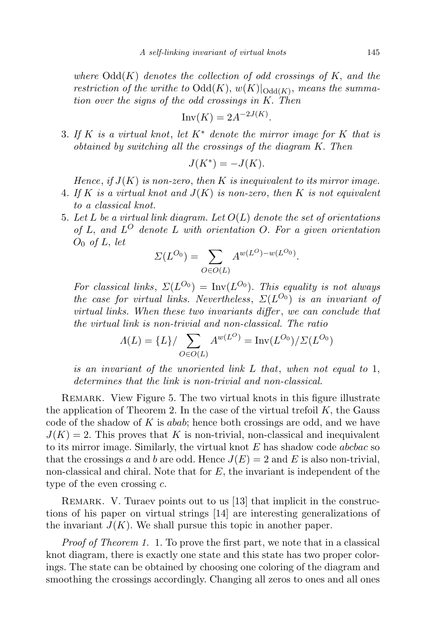*where*  $Odd(K)$  *denotes the collection of odd crossings of*  $K$ *, and the restriction of the writhe to*  $\text{Odd}(K), w(K)|_{\text{Odd}(K)}$ , *means the summation over the signs of the odd crossings in K. Then*

$$
\operatorname{Inv}(K) = 2A^{-2J(K)}.
$$

3. *If K is a virtual knot*, *let K∗ denote the mirror image for K that is obtained by switching all the crossings of the diagram K. Then*

$$
J(K^*) = -J(K).
$$

*Hence*, *if J*(*K*) *is non-zero*, *then K is inequivalent to its mirror image.*

- 4. *If K is a virtual knot and J*(*K*) *is non-zero*, *then K is not equivalent to a classical knot.*
- 5. *Let L be a virtual link diagram. Let O*(*L*) *denote the set of orientations of L, and L <sup>O</sup> denote L with orientation O. For a given orientation O*<sup>0</sup> *of L, let*

$$
\Sigma(L^{O_0}) = \sum_{O \in O(L)} A^{w(L^O) - w(L^{O_0})}.
$$

*For classical links*,  $\Sigma(L^{O_0}) = \text{Inv}(L^{O_0})$ *. This equality is not always the case for virtual links. Nevertheless*,  $\Sigma(L^{O_0})$  *is an invariant of virtual links. When these two invariants differ* , *we can conclude that the virtual link is non-trivial and non-classical. The ratio*

$$
\Lambda(L) = \{L\} / \sum_{O \in O(L)} A^{w(L^O)} = \text{Inv}(L^{O_0}) / \Sigma(L^{O_0})
$$

*is an invariant of the unoriented link L that*, *when not equal to* 1*, determines that the link is non-trivial and non-classical.*

Remark. View Figure 5. The two virtual knots in this figure illustrate the application of Theorem 2. In the case of the virtual trefoil *K,* the Gauss code of the shadow of *K* is *abab*; hence both crossings are odd, and we have  $J(K) = 2$ . This proves that K is non-trivial, non-classical and inequivalent to its mirror image. Similarly, the virtual knot *E* has shadow code *abcbac* so that the crossings *a* and *b* are odd. Hence  $J(E) = 2$  and *E* is also non-trivial, non-classical and chiral. Note that for *E,* the invariant is independent of the type of the even crossing *c.*

REMARK. V. Turaev points out to us [13] that implicit in the constructions of his paper on virtual strings [14] are interesting generalizations of the invariant  $J(K)$ . We shall pursue this topic in another paper.

*Proof of Theorem 1.* 1. To prove the first part, we note that in a classical knot diagram, there is exactly one state and this state has two proper colorings. The state can be obtained by choosing one coloring of the diagram and smoothing the crossings accordingly. Changing all zeros to ones and all ones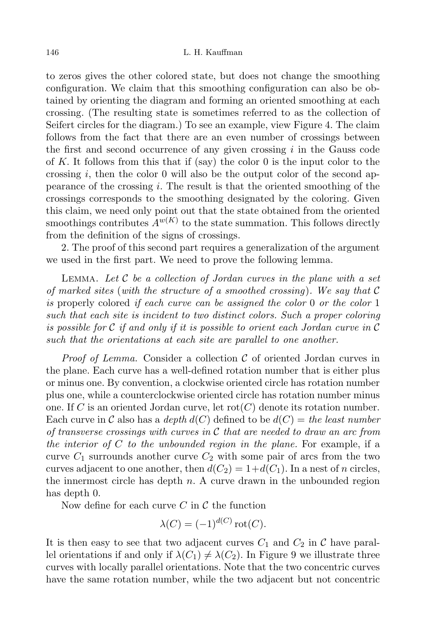to zeros gives the other colored state, but does not change the smoothing configuration. We claim that this smoothing configuration can also be obtained by orienting the diagram and forming an oriented smoothing at each crossing. (The resulting state is sometimes referred to as the collection of Seifert circles for the diagram.) To see an example, view Figure 4. The claim follows from the fact that there are an even number of crossings between the first and second occurrence of any given crossing *i* in the Gauss code of  $K$ . It follows from this that if  $(say)$  the color 0 is the input color to the crossing *i*, then the color 0 will also be the output color of the second appearance of the crossing *i.* The result is that the oriented smoothing of the crossings corresponds to the smoothing designated by the coloring. Given this claim, we need only point out that the state obtained from the oriented smoothings contributes  $A^{w(K)}$  to the state summation. This follows directly from the definition of the signs of crossings.

2. The proof of this second part requires a generalization of the argument we used in the first part. We need to prove the following lemma.

Lemma. *Let C be a collection of Jordan curves in the plane with a set of marked sites* (*with the structure of a smoothed crossing*)*. We say that C is* properly colored *if each curve can be assigned the color* 0 *or the color* 1 *such that each site is incident to two distinct colors. Such a proper coloring is possible for C if and only if it is possible to orient each Jordan curve in C such that the orientations at each site are parallel to one another.*

*Proof of Lemma.* Consider a collection *C* of oriented Jordan curves in the plane. Each curve has a well-defined rotation number that is either plus or minus one. By convention, a clockwise oriented circle has rotation number plus one, while a counterclockwise oriented circle has rotation number minus one. If C is an oriented Jordan curve, let  $\text{rot}(C)$  denote its rotation number. Each curve in C also has a *depth*  $d(C)$  defined to be  $d(C) =$  *the least number of transverse crossings with curves in C that are needed to draw an arc from the interior of C to the unbounded region in the plane.* For example, if a curve  $C_1$  surrounds another curve  $C_2$  with some pair of arcs from the two curves adjacent to one another, then  $d(C_2) = 1 + d(C_1)$ . In a nest of *n* circles, the innermost circle has depth *n*. A curve drawn in the unbounded region has depth 0*.*

Now define for each curve *C* in *C* the function

$$
\lambda(C) = (-1)^{d(C)} \operatorname{rot}(C).
$$

It is then easy to see that two adjacent curves  $C_1$  and  $C_2$  in  $\mathcal C$  have parallel orientations if and only if  $\lambda(C_1) \neq \lambda(C_2)$ . In Figure 9 we illustrate three curves with locally parallel orientations. Note that the two concentric curves have the same rotation number, while the two adjacent but not concentric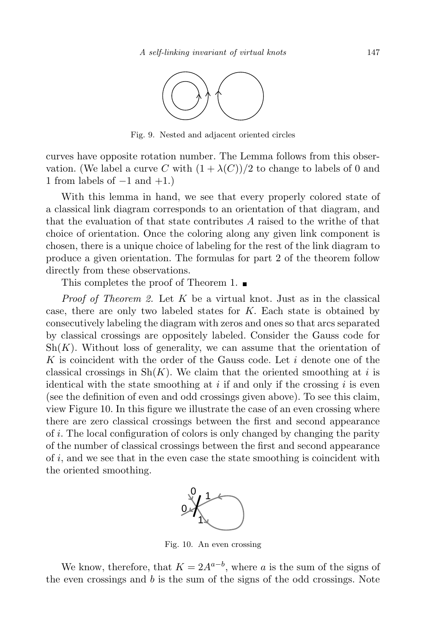

Fig. 9. Nested and adjacent oriented circles

curves have opposite rotation number. The Lemma follows from this observation. (We label a curve C with  $(1 + \lambda(C))/2$  to change to labels of 0 and 1 from labels of *−*1 and +1*.*)

With this lemma in hand, we see that every properly colored state of a classical link diagram corresponds to an orientation of that diagram, and that the evaluation of that state contributes *A* raised to the writhe of that choice of orientation. Once the coloring along any given link component is chosen, there is a unique choice of labeling for the rest of the link diagram to produce a given orientation. The formulas for part 2 of the theorem follow directly from these observations.

This completes the proof of Theorem 1.  $\blacksquare$ 

*Proof of Theorem 2.* Let *K* be a virtual knot. Just as in the classical case, there are only two labeled states for *K.* Each state is obtained by consecutively labeling the diagram with zeros and ones so that arcs separated by classical crossings are oppositely labeled. Consider the Gauss code for  $\mathrm{Sh}(K)$ . Without loss of generality, we can assume that the orientation of *K* is coincident with the order of the Gauss code. Let *i* denote one of the classical crossings in  $\text{Sh}(K)$ . We claim that the oriented smoothing at *i* is identical with the state smoothing at *i* if and only if the crossing *i* is even (see the definition of even and odd crossings given above). To see this claim, view Figure 10. In this figure we illustrate the case of an even crossing where there are zero classical crossings between the first and second appearance of *i.* The local configuration of colors is only changed by changing the parity of the number of classical crossings between the first and second appearance of *i,* and we see that in the even case the state smoothing is coincident with the oriented smoothing.



Fig. 10. An even crossing

We know, therefore, that  $K = 2A^{a-b}$ , where *a* is the sum of the signs of the even crossings and *b* is the sum of the signs of the odd crossings. Note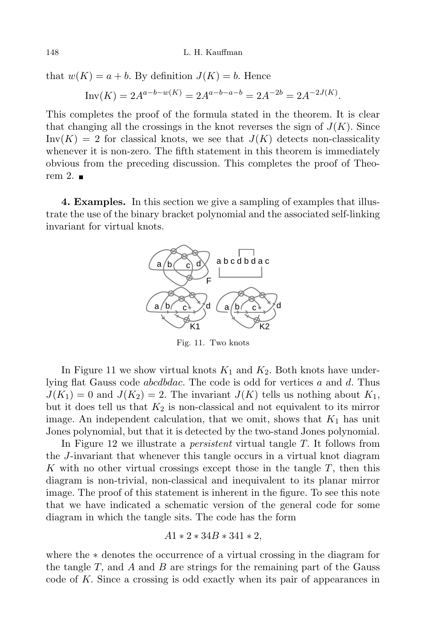that  $w(K) = a + b$ . By definition  $J(K) = b$ . Hence

$$
Inv(K) = 2A^{a-b-w(K)} = 2A^{a-b-a-b} = 2A^{-2b} = 2A^{-2J(K)}.
$$

This completes the proof of the formula stated in the theorem. It is clear that changing all the crossings in the knot reverses the sign of  $J(K)$ . Since  $Inv(K) = 2$  for classical knots, we see that  $J(K)$  detects non-classicality whenever it is non-zero. The fifth statement in this theorem is immediately obvious from the preceding discussion. This completes the proof of Theorem 2.  $\blacksquare$ 

**4. Examples.** In this section we give a sampling of examples that illustrate the use of the binary bracket polynomial and the associated self-linking invariant for virtual knots.



Fig. 11. Two knots

In Figure 11 we show virtual knots  $K_1$  and  $K_2$ . Both knots have underlying flat Gauss code *abcdbdac.* The code is odd for vertices *a* and *d*. Thus  $J(K_1) = 0$  and  $J(K_2) = 2$ . The invariant  $J(K)$  tells us nothing about  $K_1$ , but it does tell us that  $K_2$  is non-classical and not equivalent to its mirror image. An independent calculation, that we omit, shows that  $K_1$  has unit Jones polynomial, but that it is detected by the two-stand Jones polynomial.

In Figure 12 we illustrate a *persistent* virtual tangle *T.* It follows from the *J*-invariant that whenever this tangle occurs in a virtual knot diagram *K* with no other virtual crossings except those in the tangle *T*, then this diagram is non-trivial, non-classical and inequivalent to its planar mirror image. The proof of this statement is inherent in the figure. To see this note that we have indicated a schematic version of the general code for some diagram in which the tangle sits. The code has the form

$$
A1 * 2 * 34B * 341 * 2,
$$

where the *∗* denotes the occurrence of a virtual crossing in the diagram for the tangle *T,* and *A* and *B* are strings for the remaining part of the Gauss code of *K.* Since a crossing is odd exactly when its pair of appearances in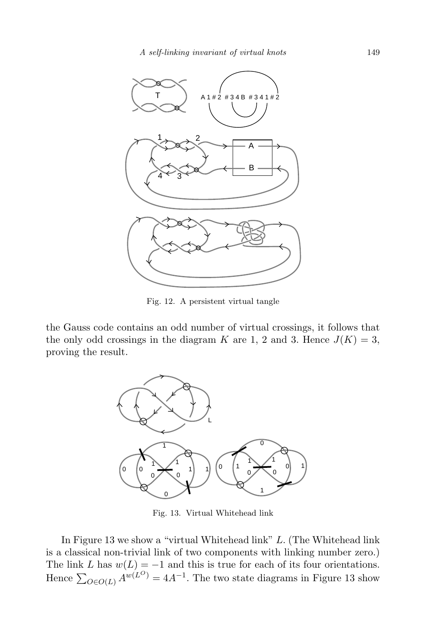

Fig. 12. A persistent virtual tangle

the Gauss code contains an odd number of virtual crossings, it follows that the only odd crossings in the diagram *K* are 1, 2 and 3. Hence  $J(K) = 3$ , proving the result.



Fig. 13. Virtual Whitehead link

In Figure 13 we show a "virtual Whitehead link" *L.* (The Whitehead link is a classical non-trivial link of two components with linking number zero.) The link *L* has  $w(L) = -1$  and this is true for each of its four orientations. Hence  $\sum_{O \in O(L)} A^{w(L^O)} = 4A^{-1}$ . The two state diagrams in Figure 13 show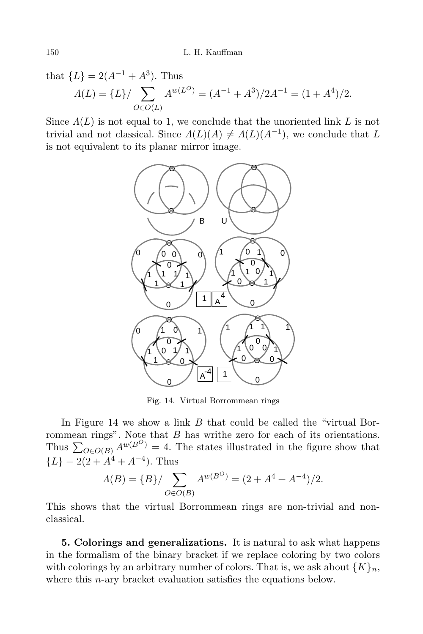that  ${L} = 2(A^{-1} + A^3)$ . Thus *Λ*(*L*) = {*L*}/  $\sum$ *O∈O*(*L*)  $A^{w(L^O)} = (A^{-1} + A^3)/2A^{-1} = (1 + A^4)/2.$ 

Since  $\Lambda(L)$  is not equal to 1, we conclude that the unoriented link L is not trivial and not classical. Since  $\Lambda(L)(A) \neq \Lambda(L)(A^{-1})$ , we conclude that *L* is not equivalent to its planar mirror image.



Fig. 14. Virtual Borrommean rings

In Figure 14 we show a link *B* that could be called the "virtual Borrommean rings". Note that *B* has writhe zero for each of its orientations. Thus  $\sum_{O \in O(B)} A^{w(B^O)} = 4$ . The states illustrated in the figure show that  ${L}$  = 2(2 + *A*<sup>4</sup> + *A*<sup>−4</sup>)*.* Thus

$$
\Lambda(B) = \{B\} / \sum_{O \in O(B)} A^{w(B^O)} = (2 + A^4 + A^{-4})/2.
$$

This shows that the virtual Borrommean rings are non-trivial and nonclassical.

**5. Colorings and generalizations.** It is natural to ask what happens in the formalism of the binary bracket if we replace coloring by two colors with colorings by an arbitrary number of colors. That is, we ask about  ${K}_n$ , where this *n*-ary bracket evaluation satisfies the equations below.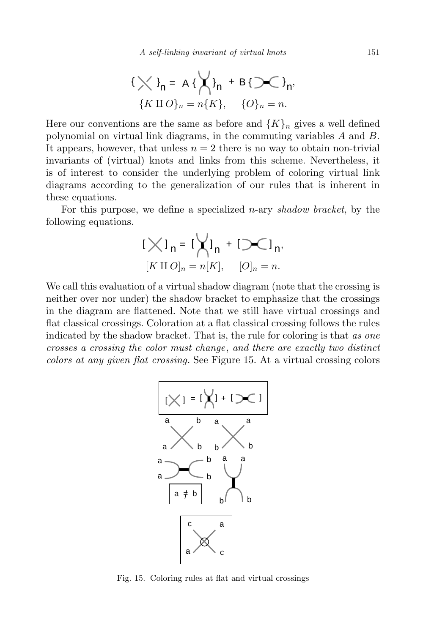$$
\{\bigtimes\}_{n} = A\{\bigtimes\}_{n} + B\{\bigsetminus\}_{n},
$$
  

$$
\{K \amalg O\}_{n} = n\{K\}, \quad \{O\}_{n} = n.
$$

Here our conventions are the same as before and  ${K}_{n}$  gives a well defined polynomial on virtual link diagrams, in the commuting variables *A* and *B.* It appears, however, that unless  $n = 2$  there is no way to obtain non-trivial invariants of (virtual) knots and links from this scheme. Nevertheless, it is of interest to consider the underlying problem of coloring virtual link diagrams according to the generalization of our rules that is inherent in these equations.

For this purpose, we define a specialized *n*-ary *shadow bracket*, by the following equations.

$$
[\bigtimes]_n = [\bigtimes]_n + [\bigcirc]_n,
$$
  

$$
[K \amalg O]_n = n[K], \quad [O]_n = n.
$$

We call this evaluation of a virtual shadow diagram (note that the crossing is neither over nor under) the shadow bracket to emphasize that the crossings in the diagram are flattened. Note that we still have virtual crossings and flat classical crossings. Coloration at a flat classical crossing follows the rules indicated by the shadow bracket. That is, the rule for coloring is that *as one crosses a crossing the color must change*, *and there are exactly two distinct colors at any given flat crossing.* See Figure 15. At a virtual crossing colors



Fig. 15. Coloring rules at flat and virtual crossings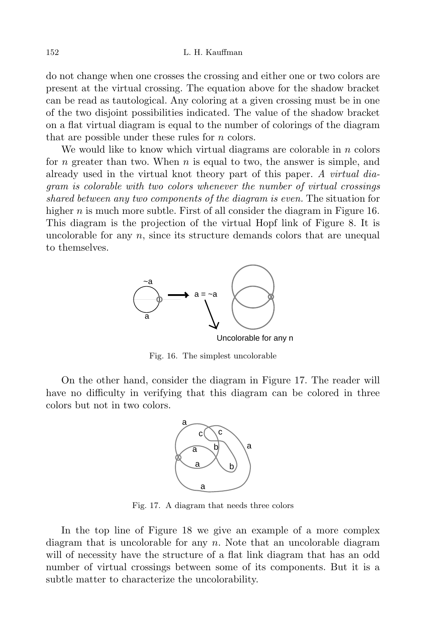do not change when one crosses the crossing and either one or two colors are present at the virtual crossing. The equation above for the shadow bracket can be read as tautological. Any coloring at a given crossing must be in one of the two disjoint possibilities indicated. The value of the shadow bracket on a flat virtual diagram is equal to the number of colorings of the diagram that are possible under these rules for *n* colors.

We would like to know which virtual diagrams are colorable in *n* colors for *n* greater than two. When *n* is equal to two, the answer is simple, and already used in the virtual knot theory part of this paper. *A virtual diagram is colorable with two colors whenever the number of virtual crossings shared between any two components of the diagram is even.* The situation for higher *n* is much more subtle. First of all consider the diagram in Figure 16. This diagram is the projection of the virtual Hopf link of Figure 8. It is uncolorable for any *n*, since its structure demands colors that are unequal to themselves.



Fig. 16. The simplest uncolorable

On the other hand, consider the diagram in Figure 17. The reader will have no difficulty in verifying that this diagram can be colored in three colors but not in two colors.



Fig. 17. A diagram that needs three colors

In the top line of Figure 18 we give an example of a more complex diagram that is uncolorable for any *n.* Note that an uncolorable diagram will of necessity have the structure of a flat link diagram that has an odd number of virtual crossings between some of its components. But it is a subtle matter to characterize the uncolorability.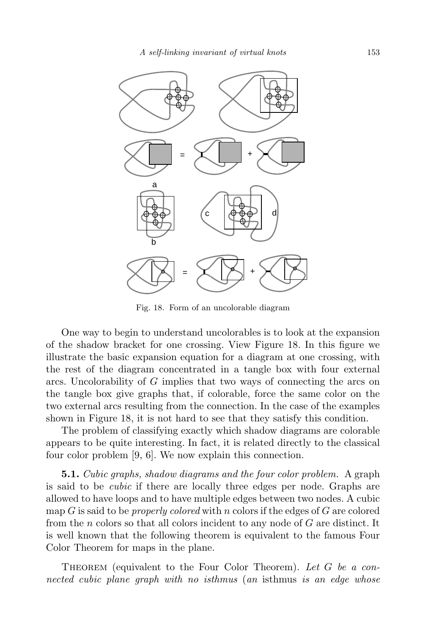

Fig. 18. Form of an uncolorable diagram

One way to begin to understand uncolorables is to look at the expansion of the shadow bracket for one crossing. View Figure 18. In this figure we illustrate the basic expansion equation for a diagram at one crossing, with the rest of the diagram concentrated in a tangle box with four external arcs. Uncolorability of *G* implies that two ways of connecting the arcs on the tangle box give graphs that, if colorable, force the same color on the two external arcs resulting from the connection. In the case of the examples shown in Figure 18, it is not hard to see that they satisfy this condition.

The problem of classifying exactly which shadow diagrams are colorable appears to be quite interesting. In fact, it is related directly to the classical four color problem [9, 6]. We now explain this connection.

**5.1.** *Cubic graphs, shadow diagrams and the four color problem.* A graph is said to be *cubic* if there are locally three edges per node. Graphs are allowed to have loops and to have multiple edges between two nodes. A cubic map *G* is said to be *properly colored* with *n* colors if the edges of *G* are colored from the *n* colors so that all colors incident to any node of *G* are distinct. It is well known that the following theorem is equivalent to the famous Four Color Theorem for maps in the plane.

Theorem (equivalent to the Four Color Theorem). *Let G be a connected cubic plane graph with no isthmus* (*an* isthmus *is an edge whose*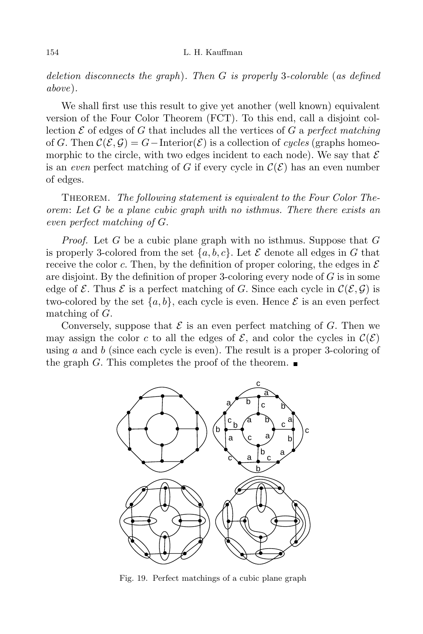*deletion disconnects the graph*)*. Then G is properly* 3*-colorable* (*as defined above*)*.*

We shall first use this result to give yet another (well known) equivalent version of the Four Color Theorem (FCT). To this end, call a disjoint collection  $\mathcal E$  of edges of  $G$  that includes all the vertices of  $G$  a *perfect matching* of *G*. Then  $\mathcal{C}(\mathcal{E}, \mathcal{G}) = G$  − Interior( $\mathcal{E}$ ) is a collection of *cycles* (graphs homeomorphic to the circle, with two edges incident to each node). We say that  $\mathcal E$ is an *even* perfect matching of *G* if every cycle in  $\mathcal{C}(\mathcal{E})$  has an even number of edges.

Theorem. *The following statement is equivalent to the Four Color Theorem*: *Let G be a plane cubic graph with no isthmus. There there exists an even perfect matching of G.*

*Proof.* Let *G* be a cubic plane graph with no isthmus. Suppose that *G* is properly 3-colored from the set  $\{a, b, c\}$ . Let  $\mathcal E$  denote all edges in  $G$  that receive the color *c*. Then, by the definition of proper coloring, the edges in  $\mathcal E$ are disjoint. By the definition of proper 3-coloring every node of *G* is in some edge of  $\mathcal{E}$ . Thus  $\mathcal{E}$  is a perfect matching of *G*. Since each cycle in  $\mathcal{C}(\mathcal{E}, \mathcal{G})$  is two-colored by the set  $\{a, b\}$ , each cycle is even. Hence  $\mathcal E$  is an even perfect matching of *G.*

Conversely, suppose that  $\mathcal E$  is an even perfect matching of  $G$ . Then we may assign the color *c* to all the edges of  $\mathcal{E}$ , and color the cycles in  $\mathcal{C}(\mathcal{E})$ using *a* and *b* (since each cycle is even). The result is a proper 3-coloring of the graph *G*. This completes the proof of the theorem.  $\blacksquare$ 



Fig. 19. Perfect matchings of a cubic plane graph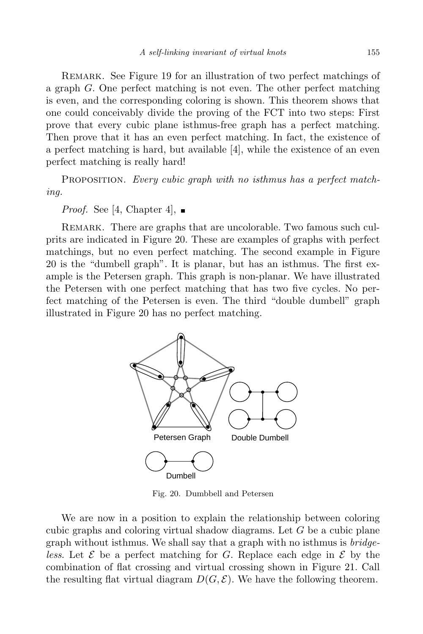REMARK. See Figure 19 for an illustration of two perfect matchings of a graph *G.* One perfect matching is not even. The other perfect matching is even, and the corresponding coloring is shown. This theorem shows that one could conceivably divide the proving of the FCT into two steps: First prove that every cubic plane isthmus-free graph has a perfect matching. Then prove that it has an even perfect matching. In fact, the existence of a perfect matching is hard, but available [4], while the existence of an even perfect matching is really hard!

Proposition. *Every cubic graph with no isthmus has a perfect matching.*

*Proof.* See [4, Chapter 4],  $\blacksquare$ 

REMARK. There are graphs that are uncolorable. Two famous such culprits are indicated in Figure 20. These are examples of graphs with perfect matchings, but no even perfect matching. The second example in Figure 20 is the "dumbell graph". It is planar, but has an isthmus. The first example is the Petersen graph. This graph is non-planar. We have illustrated the Petersen with one perfect matching that has two five cycles. No perfect matching of the Petersen is even. The third "double dumbell" graph illustrated in Figure 20 has no perfect matching.



Fig. 20. Dumbbell and Petersen

We are now in a position to explain the relationship between coloring cubic graphs and coloring virtual shadow diagrams. Let *G* be a cubic plane graph without isthmus. We shall say that a graph with no isthmus is *bridgeless*. Let *E* be a perfect matching for *G.* Replace each edge in *E* by the combination of flat crossing and virtual crossing shown in Figure 21. Call the resulting flat virtual diagram  $D(G, \mathcal{E})$ . We have the following theorem.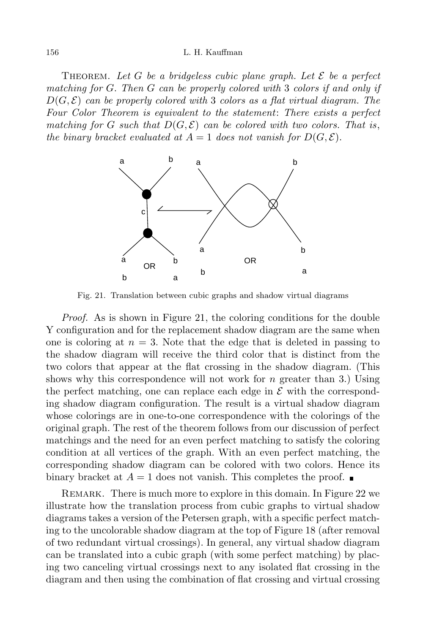### 156 L. H. Kauffman

THEOREM. Let *G* be a bridgeless cubic plane graph. Let  $\mathcal{E}$  be a perfect *matching for G. Then G can be properly colored with* 3 *colors if and only if*  $D(G, \mathcal{E})$  *can be properly colored with* 3 *colors as a flat virtual diagram. The Four Color Theorem is equivalent to the statement*: *There exists a perfect matching for G such that*  $D(G, \mathcal{E})$  *can be colored with two colors. That is*, *the binary bracket evaluated at*  $A = 1$  *does not vanish for*  $D(G, \mathcal{E})$ *.* 



Fig. 21. Translation between cubic graphs and shadow virtual diagrams

*Proof.* As is shown in Figure 21, the coloring conditions for the double Y configuration and for the replacement shadow diagram are the same when one is coloring at  $n = 3$ . Note that the edge that is deleted in passing to the shadow diagram will receive the third color that is distinct from the two colors that appear at the flat crossing in the shadow diagram. (This shows why this correspondence will not work for *n* greater than 3*.*) Using the perfect matching, one can replace each edge in  $\mathcal E$  with the corresponding shadow diagram configuration. The result is a virtual shadow diagram whose colorings are in one-to-one correspondence with the colorings of the original graph. The rest of the theorem follows from our discussion of perfect matchings and the need for an even perfect matching to satisfy the coloring condition at all vertices of the graph. With an even perfect matching, the corresponding shadow diagram can be colored with two colors. Hence its binary bracket at  $A = 1$  does not vanish. This completes the proof.  $\blacksquare$ 

Remark. There is much more to explore in this domain. In Figure 22 we illustrate how the translation process from cubic graphs to virtual shadow diagrams takes a version of the Petersen graph, with a specific perfect matching to the uncolorable shadow diagram at the top of Figure 18 (after removal of two redundant virtual crossings). In general, any virtual shadow diagram can be translated into a cubic graph (with some perfect matching) by placing two canceling virtual crossings next to any isolated flat crossing in the diagram and then using the combination of flat crossing and virtual crossing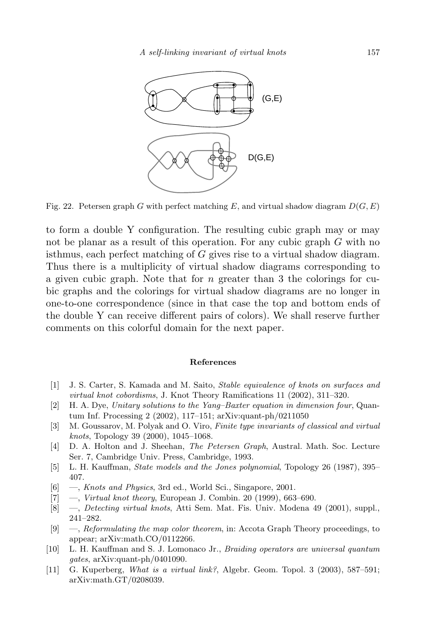

Fig. 22. Petersen graph *G* with perfect matching *E*, and virtual shadow diagram  $D(G, E)$ 

to form a double Y configuration. The resulting cubic graph may or may not be planar as a result of this operation. For any cubic graph *G* with no isthmus, each perfect matching of *G* gives rise to a virtual shadow diagram. Thus there is a multiplicity of virtual shadow diagrams corresponding to a given cubic graph. Note that for *n* greater than 3 the colorings for cubic graphs and the colorings for virtual shadow diagrams are no longer in one-to-one correspondence (since in that case the top and bottom ends of the double Y can receive different pairs of colors). We shall reserve further comments on this colorful domain for the next paper.

## **References**

- [1] J. S. Carter, S. Kamada and M. Saito, *Stable equivalence of knots on surfaces and virtual knot cobordisms*, J. Knot Theory Ramifications 11 (2002), 311–320.
- [2] H. A. Dye, *Unitary solutions to the Yang–Baxter equation in dimension four*, Quantum Inf. Processing 2 (2002), 117–151; arXiv:quant-ph/0211050
- [3] M. Goussarov, M. Polyak and O. Viro, *Finite type invariants of classical and virtual knots*, Topology 39 (2000), 1045–1068.
- [4] D. A. Holton and J. Sheehan, *The Petersen Graph*, Austral. Math. Soc. Lecture Ser. 7, Cambridge Univ. Press, Cambridge, 1993.
- [5] L. H. Kauffman, *State models and the Jones polynomial*, Topology 26 (1987), 395– 407.
- [6] —, *Knots and Physics*, 3rd ed., World Sci., Singapore, 2001.
- [7] —, *Virtual knot theory*, European J. Combin. 20 (1999), 663–690.
- [8] —, *Detecting virtual knots*, Atti Sem. Mat. Fis. Univ. Modena 49 (2001), suppl., 241–282.
- [9] —, *Reformulating the map color theorem*, in: Accota Graph Theory proceedings, to appear; arXiv:math.CO/0112266.
- [10] L. H. Kauffman and S. J. Lomonaco Jr., *Braiding operators are universal quantum gates*, arXiv:quant-ph/0401090.
- [11] G. Kuperberg, *What is a virtual link?*, Algebr. Geom. Topol. 3 (2003), 587–591; arXiv:math.GT/0208039.